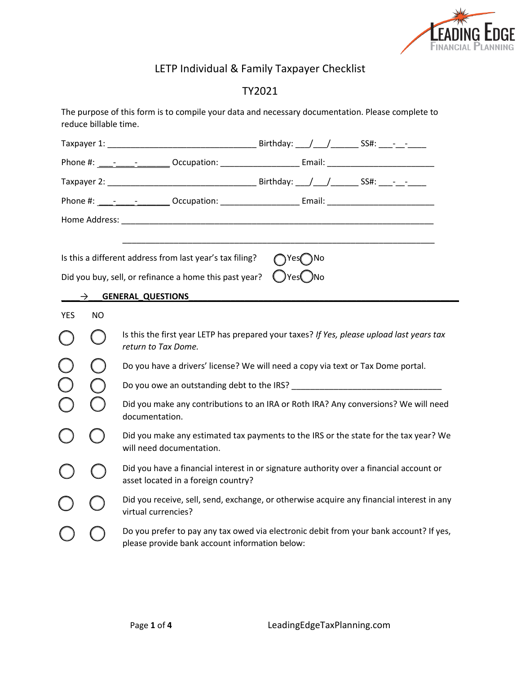

# LETP Individual & Family Taxpayer Checklist

## TY2021

|                                                                                                       | reduce billable time.                                                                                            | The purpose of this form is to compile your data and necessary documentation. Please complete to                                                                                                                              |  |
|-------------------------------------------------------------------------------------------------------|------------------------------------------------------------------------------------------------------------------|-------------------------------------------------------------------------------------------------------------------------------------------------------------------------------------------------------------------------------|--|
|                                                                                                       |                                                                                                                  |                                                                                                                                                                                                                               |  |
|                                                                                                       |                                                                                                                  | Phone #: 1000 - 2000 - 2000 - 2000 - 2000 - 2000 - 2000 - 2000 - 2000 - 2000 - 2000 - 2000 - 2000 - 2000 - 200                                                                                                                |  |
|                                                                                                       |                                                                                                                  |                                                                                                                                                                                                                               |  |
|                                                                                                       |                                                                                                                  | Phone #: ____-______________Occupation: ________________________Email: _____________________________                                                                                                                          |  |
|                                                                                                       |                                                                                                                  | Home Address: North American State of the Address of the Address of the Address of the Address of the Address of the Address of the Address of the Address of the Address of the Address of the Address of the Address of the |  |
|                                                                                                       | $\rightarrow$                                                                                                    | Is this a different address from last year's tax filing?<br>TYes TNo<br>∪Yes( )No<br>Did you buy, sell, or refinance a home this past year?<br><b>GENERAL_QUESTIONS</b>                                                       |  |
| <b>YES</b>                                                                                            | NO.                                                                                                              |                                                                                                                                                                                                                               |  |
|                                                                                                       |                                                                                                                  | Is this the first year LETP has prepared your taxes? If Yes, please upload last years tax<br>return to Tax Dome.                                                                                                              |  |
|                                                                                                       |                                                                                                                  | Do you have a drivers' license? We will need a copy via text or Tax Dome portal.                                                                                                                                              |  |
|                                                                                                       |                                                                                                                  |                                                                                                                                                                                                                               |  |
| Did you make any contributions to an IRA or Roth IRA? Any conversions? We will need<br>documentation. |                                                                                                                  |                                                                                                                                                                                                                               |  |
|                                                                                                       | Did you make any estimated tax payments to the IRS or the state for the tax year? We<br>will need documentation. |                                                                                                                                                                                                                               |  |
|                                                                                                       |                                                                                                                  | Did you have a financial interest in or signature authority over a financial account or<br>asset located in a foreign country?                                                                                                |  |
|                                                                                                       |                                                                                                                  | Did you receive, sell, send, exchange, or otherwise acquire any financial interest in any<br>virtual currencies?                                                                                                              |  |
|                                                                                                       |                                                                                                                  | Do you prefer to pay any tax owed via electronic debit from your bank account? If yes,<br>please provide bank account information below:                                                                                      |  |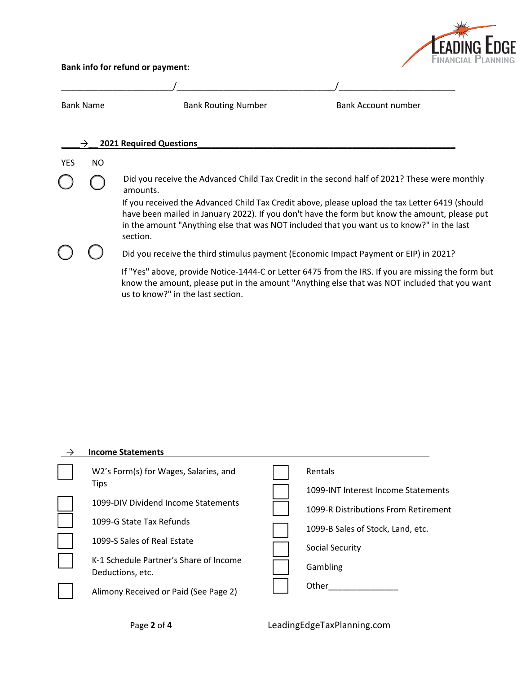

#### **Bank info for refund or payment:**

| <b>Bank Name</b> |     | <b>Bank Routing Number</b>                                                                            | Bank Account number                                                                                                                                                                                |
|------------------|-----|-------------------------------------------------------------------------------------------------------|----------------------------------------------------------------------------------------------------------------------------------------------------------------------------------------------------|
|                  | →   | <b>2021 Required Questions</b>                                                                        |                                                                                                                                                                                                    |
| <b>YES</b>       | NO. |                                                                                                       |                                                                                                                                                                                                    |
|                  |     | amounts.                                                                                              | Did you receive the Advanced Child Tax Credit in the second half of 2021? These were monthly                                                                                                       |
|                  |     | in the amount "Anything else that was NOT included that you want us to know?" in the last<br>section. | If you received the Advanced Child Tax Credit above, please upload the tax Letter 6419 (should<br>have been mailed in January 2022). If you don't have the form but know the amount, please put    |
|                  |     | Did you receive the third stimulus payment (Economic Impact Payment or EIP) in 2021?                  |                                                                                                                                                                                                    |
|                  |     | us to know?" in the last section.                                                                     | If "Yes" above, provide Notice-1444-C or Letter 6475 from the IRS. If you are missing the form but<br>know the amount, please put in the amount "Anything else that was NOT included that you want |

#### \_→\_\_\_**Income Statements**\_\_\_\_\_\_\_\_\_\_\_\_\_\_\_\_\_\_\_\_\_\_\_\_\_\_\_\_\_\_\_\_\_\_\_\_\_\_\_\_\_\_\_\_\_\_\_\_\_\_\_\_\_\_\_\_\_ ⃝ W2's Form(s) for Wages, Salaries, and Tips 1099-DIV Dividend Income Statements 1099-G State Tax Refunds 1099-S Sales of Real Estate ⃝ K-1 Schedule Partner's Share of Income Deductions, etc. ⃝ Alimony Received or Paid (See Page 2) **Rentals** 1099-INT Interest Income Statements 1099-R Distributions From Retirement 1099-B Sales of Stock, Land, etc. Social Security Gambling ⃝ Other\_\_\_\_\_\_\_\_\_\_\_\_\_\_\_

Page **2** of **4** LeadingEdgeTaxPlanning.com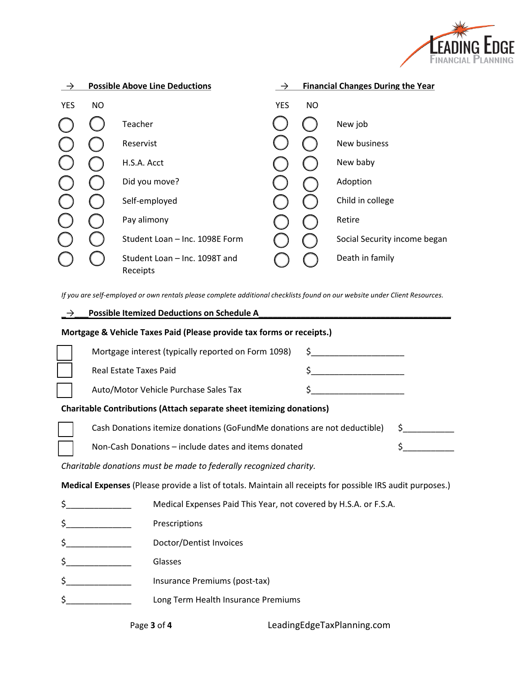

|            |     | <b>Possible Above Line Deductions</b>     |            |           | <b>Financial Changes During the Year</b> |  |  |
|------------|-----|-------------------------------------------|------------|-----------|------------------------------------------|--|--|
| <b>YES</b> | NO. |                                           | <b>YES</b> | <b>NO</b> |                                          |  |  |
|            |     | Teacher                                   |            |           | New job                                  |  |  |
|            |     | Reservist                                 |            |           | New business                             |  |  |
|            |     | H.S.A. Acct                               |            |           | New baby                                 |  |  |
|            |     | Did you move?                             |            |           | Adoption                                 |  |  |
|            |     | Self-employed                             |            |           | Child in college                         |  |  |
|            |     | Pay alimony                               |            |           | Retire                                   |  |  |
|            |     | Student Loan - Inc. 1098E Form            |            |           | Social Security income began             |  |  |
|            |     | Student Loan - Inc. 1098T and<br>Receipts |            |           | Death in family                          |  |  |

*If you are self-employed or own rentals please complete additional checklists found on our website under Client Resources.* 

| $\rightarrow$                                                                                              | <b>Possible Itemized Deductions on Schedule A</b>                                                         |                                                                                                                                                                                                                                                                                                                                                                                                  |  |  |
|------------------------------------------------------------------------------------------------------------|-----------------------------------------------------------------------------------------------------------|--------------------------------------------------------------------------------------------------------------------------------------------------------------------------------------------------------------------------------------------------------------------------------------------------------------------------------------------------------------------------------------------------|--|--|
| Mortgage & Vehicle Taxes Paid (Please provide tax forms or receipts.)                                      |                                                                                                           |                                                                                                                                                                                                                                                                                                                                                                                                  |  |  |
|                                                                                                            | Mortgage interest (typically reported on Form 1098)                                                       | $\frac{1}{2}$ $\frac{1}{2}$ $\frac{1}{2}$ $\frac{1}{2}$ $\frac{1}{2}$ $\frac{1}{2}$ $\frac{1}{2}$ $\frac{1}{2}$ $\frac{1}{2}$ $\frac{1}{2}$ $\frac{1}{2}$ $\frac{1}{2}$ $\frac{1}{2}$ $\frac{1}{2}$ $\frac{1}{2}$ $\frac{1}{2}$ $\frac{1}{2}$ $\frac{1}{2}$ $\frac{1}{2}$ $\frac{1}{2}$ $\frac{1}{2}$ $\frac{1}{2}$                                                                              |  |  |
|                                                                                                            | Real Estate Taxes Paid                                                                                    | $\mathsf{S} \hspace{-0.04cm} \begin{picture}(10,20) \label{fig:2} \put(0,0){\dashbox{0.5}(10,0){ }} \put(15,0){\circle{10}} \put(25,0){\circle{10}} \put(25,0){\circle{10}} \put(25,0){\circle{10}} \put(25,0){\circle{10}} \put(25,0){\circle{10}} \put(25,0){\circle{10}} \put(25,0){\circle{10}} \put(25,0){\circle{10}} \put(25,0){\circle{10}} \put(25,0){\circle{10}} \put(25,0){\circle{$ |  |  |
|                                                                                                            | Auto/Motor Vehicle Purchase Sales Tax                                                                     |                                                                                                                                                                                                                                                                                                                                                                                                  |  |  |
| <b>Charitable Contributions (Attach separate sheet itemizing donations)</b>                                |                                                                                                           |                                                                                                                                                                                                                                                                                                                                                                                                  |  |  |
|                                                                                                            | Cash Donations itemize donations (GoFundMe donations are not deductible)<br>$\mathsf{S}$ and $\mathsf{S}$ |                                                                                                                                                                                                                                                                                                                                                                                                  |  |  |
|                                                                                                            | Non-Cash Donations - include dates and items donated                                                      | $\frac{1}{2}$                                                                                                                                                                                                                                                                                                                                                                                    |  |  |
| Charitable donations must be made to federally recognized charity.                                         |                                                                                                           |                                                                                                                                                                                                                                                                                                                                                                                                  |  |  |
| Medical Expenses (Please provide a list of totals. Maintain all receipts for possible IRS audit purposes.) |                                                                                                           |                                                                                                                                                                                                                                                                                                                                                                                                  |  |  |
| \$.                                                                                                        | Medical Expenses Paid This Year, not covered by H.S.A. or F.S.A.                                          |                                                                                                                                                                                                                                                                                                                                                                                                  |  |  |
|                                                                                                            | Prescriptions                                                                                             |                                                                                                                                                                                                                                                                                                                                                                                                  |  |  |
|                                                                                                            | Doctor/Dentist Invoices                                                                                   |                                                                                                                                                                                                                                                                                                                                                                                                  |  |  |
|                                                                                                            | Glasses                                                                                                   |                                                                                                                                                                                                                                                                                                                                                                                                  |  |  |
|                                                                                                            | Insurance Premiums (post-tax)                                                                             |                                                                                                                                                                                                                                                                                                                                                                                                  |  |  |
|                                                                                                            | Long Term Health Insurance Premiums                                                                       |                                                                                                                                                                                                                                                                                                                                                                                                  |  |  |
|                                                                                                            |                                                                                                           |                                                                                                                                                                                                                                                                                                                                                                                                  |  |  |

Page **3** of **4** LeadingEdgeTaxPlanning.com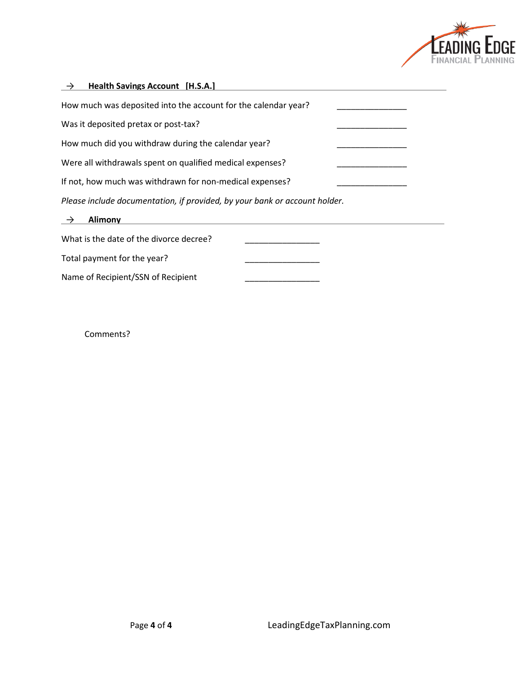

| <b>Health Savings Account [H.S.A.]</b><br>$\rightarrow$                    |  |
|----------------------------------------------------------------------------|--|
| How much was deposited into the account for the calendar year?             |  |
| Was it deposited pretax or post-tax?                                       |  |
| How much did you withdraw during the calendar year?                        |  |
| Were all withdrawals spent on qualified medical expenses?                  |  |
| If not, how much was withdrawn for non-medical expenses?                   |  |
| Please include documentation, if provided, by your bank or account holder. |  |
| <b>Alimony</b><br>$\rightarrow$                                            |  |
| What is the date of the divorce decree?                                    |  |
| Total payment for the year?                                                |  |
| Name of Recipient/SSN of Recipient                                         |  |
|                                                                            |  |

Comments?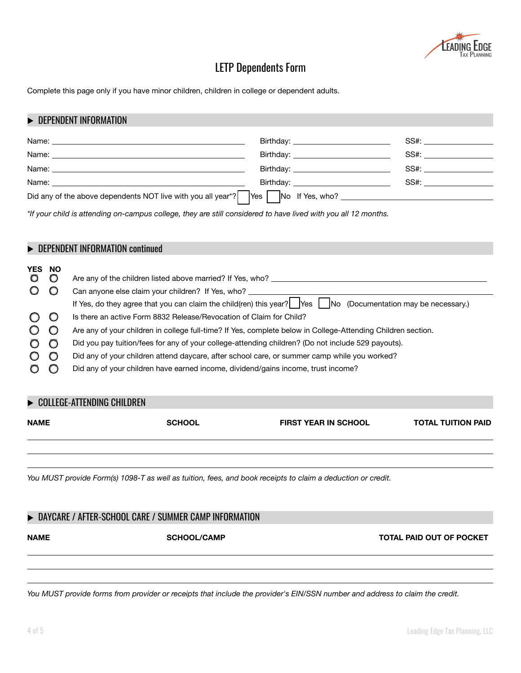

# LETP Dependents Form

Complete this page only if you have minor children, children in college or dependent adults.

#### **DEPENDENT INFORMATION**

|                                                                                                                                                                                                                                        | Birthday: ___________________________ | SS#: the contract of the contract of the contract of the contract of the contract of the contract of the contract of the contract of the contract of the contract of the contract of the contract of the contract of the contr |
|----------------------------------------------------------------------------------------------------------------------------------------------------------------------------------------------------------------------------------------|---------------------------------------|--------------------------------------------------------------------------------------------------------------------------------------------------------------------------------------------------------------------------------|
| Name:                                                                                                                                                                                                                                  | Birthday: _________________________   | SS#: ____________________                                                                                                                                                                                                      |
| Name:                                                                                                                                                                                                                                  |                                       | SS#: the contract of the contract of the contract of the contract of the contract of the contract of the contract of the contract of the contract of the contract of the contract of the contract of the contract of the contr |
| Name:<br>the control of the control of the control of the control of the control of the control of the control of the control of the control of the control of the control of the control of the control of the control of the control |                                       | SS#: __________________                                                                                                                                                                                                        |
| Did any of the above dependents NOT live with you all year <sup>*?</sup>                                                                                                                                                               |                                       |                                                                                                                                                                                                                                |

*\*If your child is attending on-campus college, they are still considered to have lived with you all 12 months.*

## **EXPLORED ENDENT INFORMATION continued**

| <b>YES NO</b> |                                                                                                                             |  |
|---------------|-----------------------------------------------------------------------------------------------------------------------------|--|
|               | Are any of the children listed above married? If Yes, who?                                                                  |  |
|               | Can anyone else claim your children? If Yes, who?                                                                           |  |
|               | If Yes, do they agree that you can claim the child(ren) this year? $\vert$ Yes $\vert$ No (Documentation may be necessary.) |  |
|               | Is there an active Form 8832 Release/Revocation of Claim for Child?                                                         |  |
|               | Are any of your children in college full-time? If Yes, complete below in College-Attending Children section.                |  |
|               | Did you pay tuition/fees for any of your college-attending children? (Do not include 529 payouts).                          |  |
|               | Did any of your children attend daycare, after school care, or summer camp while you worked?                                |  |
|               | Did any of your children have earned income, dividend/gains income, trust income?                                           |  |

<u> 1999 - Andrea Santa Andrea Andrea Andrea Andrea Andrea Andrea Andrea Andrea Andrea Andrea Andrea Andrea Andr</u>

<u> 1989 - Andrea Santa Andrea Andrea Andrea Andrea Andrea Andrea Andrea Andrea Andrea Andrea Andrea Andrea Andr</u>

### ▶ COLLEGE-ATTENDING CHILDREN

**NAME SCHOOL COOL SCHOOL SCHOOL SCHOOL SCHOOL SCHOOL SCHOOL SCHOOL** 

*You MUST provide Form(s) 1098-T as well as tuition, fees, and book receipts to claim a deduction or credit.* 

### ▶ DAYCARE / AFTER-SCHOOL CARE / SUMMER CAMP INFORMATION

NAME **SCHOOL/CAMP** SCHOOL/CAMP TOTAL PAID OUT OF POCKET

*You MUST provide forms from provider or receipts that include the provider's EIN/SSN number and address to claim the credit.*